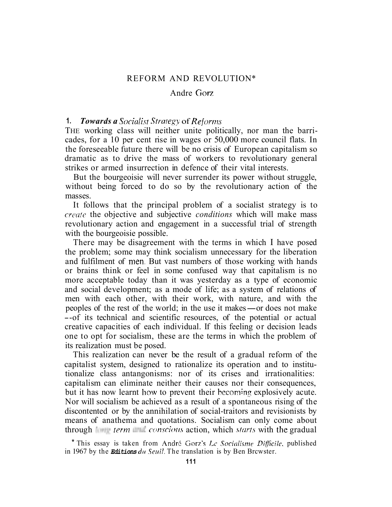# REFORM AND REVOLUTION\*

# Andre Gorz

#### **1.** Towards a Socialist Strategy of Reforms

THE working class will neither unite politically, nor man the barri- cades, for a 10 per cent rise in wages or 50,000 more council flats. In the foreseeable future there will be no crisis of European capitalism so dramatic as to drive the mass of workers to revolutionary general strikes or armed insurrection in defence of their vital interests.

But the bourgeoisie will never surrender its power without struggle, without being forced to do so by the revolutionary action of the masses.

It follows that the principal problem of a socialist strategy is to create the objective and subjective *conditions* which will make mass revolutionary action and engagement in a successful trial of strength with the bourgeoisie possible.

There may be disagreement with the terms in which I have posed the problem; some may think socialism unnecessary for the liberation and fulfilment of men. But vast numbers of those working with hands or brains think or feel in some confused way that capitalism is no more acceptable today than it was yesterday as a type of economic and social development; as a mode of life; as a system of relations of men with each other, with their work, with nature, and with the peoples of the rest of the world; in the use it makes-or does not make --of its technical and scientific resources, of the potential or actual creative capacities of each individual. If this feeling or decision leads one to opt for socialism, these are the terms in which the problem of its realization must be posed.

This realization can never be the result of a gradual reform of the capitalist system, designed to rationalize its operation and to institu- tionalize class antangonisms: nor of its crises and irrationalities: capitalism can eliminate neither their causes nor their consequences, but it has now learnt how to prevent their becoming explosively acute. Nor will socialism be achieved as a result of a spontaneous rising of the discontented or by the annihilation of social-traitors and revisionists by means of anathema and quotations. Socialism can only come about through *term* and *conscious* action, which *starts* with the gradual

\* This essay is taken from André Gorz's Le Socialisme Difficile, published in 1967 by the **Editions** du Seuil. The translation is by Ben Brewster.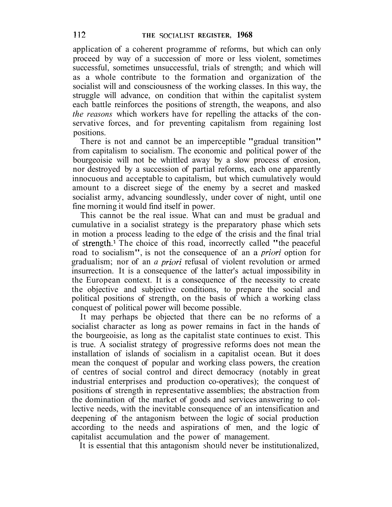application of a coherent programme of reforms, but which can only proceed by way of a succession of more or less violent, sometimes successful, sometimes unsuccessful, trials of strength; and which will as a whole contribute to the formation and organization of the socialist will and consciousness of the working classes. In this way, the struggle will advance, on condition that within the capitalist system each battle reinforces the positions of strength, the weapons, and also the reasons which workers have for repelling the attacks of the conservative forces, and for preventing capitalism from regaining lost positions.

There is not and cannot be an imperceptible "gradual transition" from capitalism to socialism. The economic and political power of the bourgeoisie will not be whittled away by a slow process of erosion, nor destroyed by a succession of partial reforms, each one apparently innocuous and acceptable to capitalism, but which cumulatively would amount to a discreet siege of the enemy by a secret and masked socialist army, advancing soundlessly, under cover of night, until one fine morning it would find itself in power.

This cannot be the real issue. What can and must be gradual and cumulative in a socialist strategy is the preparatory phase which sets in motion a process leading to the edge of the crisis and the final trial of strength.<sup>1</sup> The choice of this road, incorrectly called "the peaceful road to socialism", is not the consequence of an a *priori* option for gradualism; nor of an a priori refusal of violent revolution or armed insurrection. It is a consequence of the latter's actual impossibility in the European context. It is a consequence of the necessity to create the objective and subjective conditions, to prepare the social and political positions of strength, on the basis of which a working class conquest of political power will become possible.

It may perhaps be objected that there can be no reforms of a socialist character as long as power remains in fact in the hands of the bourgeoisie, as long as the capitalist state continues to exist. This is true. A socialist strategy of progressive reforms does not mean the installation of islands of socialism in a capitalist ocean. But it does mean the conquest of popular and working class powers, the creation of centres of social control and direct democracy (notably in great industrial enterprises and production co-operatives); the conquest of positions of strength in representative assemblies; the abstraction from the domination of the market of goods and services answering to col- lective needs, with the inevitable consequence of an intensification and deepening of the antagonism between the logic of social production according to the needs and aspirations of men, and the logic of capitalist accumulation and the power of management.

It is essential that this antagonism should never be institutionalized,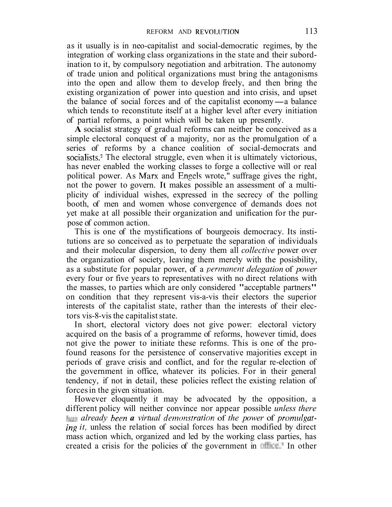as it usually is in neo-capitalist and social-democratic regimes, by the integration of working class organizations in the state and their subord- ination to it, by compulsory negotiation and arbitration. The autonomy of trade union and political organizations must bring the antagonisms into the open and allow them to develop freely, and then bring the existing organization of power into question and into crisis, and upset the balance of social forces and of the capitalist economy—a balance which tonds to existing organization of power into question and into crisis, and upset which tends to reconstitute itself at a higher level after every initiation of partial reforms, a point which will be taken up presently.

A socialist strategy of gradual reforms can neither be conceived as a simple electoral conquest of a majority, nor as the promulgation of a series of reforms by a chance coalition of social-democrats and socialists.<sup>2</sup> The electoral struggle, even when it is ultimately victorious, has never enabled the working classes to forge a collective will or real political power. As Marx and Engels wrote," suffrage gives the right, not the power to govern. It makes possible an assessment of a multi-<br>plicity of individual wishes, expressed in the secrecy of the polling booth, of men and women whose convergence of demands does not yet make at all possible their organization and unification for the pur- pose of common action.

This is one of the mystifications of bourgeois democracy. Its insti- tutions are so conceived as to perpetuate the separation of individuals and their molecular dispersion, to deny them all collective power over the organization of society, leaving them merely with the posisbility, as a substitute for popular power, of a *permanent delegation* of *power* every four or five years to representatives with no direct relations with the masses, to parties which are only considered "acceptable partners" on condition that they represent vis-a-vis their electors the superior interests of the capitalist state, rather than the interests of their elec- tors vis-8-vis the capitalist state.

In short, electoral victory does not give power: electoral victory acquired on the basis of a programme of reforms, however timid, does not give the power to initiate these reforms. This is one of the pro- found reasons for the persistence of conservative majorities except in periods of grave crisis and conflict, and for the regular re-election of the government in office, whatever its policies. For in their general tendency, if not in detail, these policies reflect the existing relation of forces in the given situation.

However eloquently it may be advocated by the opposition, a different policy will neither convince nor appear possible *unless there* already been  $\boldsymbol{a}$  virtual demonstration of the power of promulgating it, unless the relation of social forces has been modified by direct mass action which, organized and led by the working class parties, has created a crisis for the policies of the government in **other** In other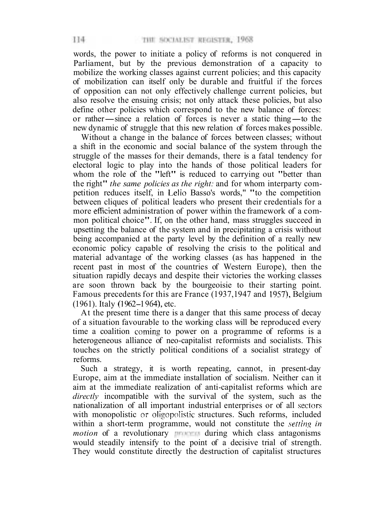words, the power to initiate a policy of reforms is not conquered in Parliament, but by the previous demonstration of a capacity to mobilize the working classes against current policies; and this capacity of mobilization can itself only be durable and fruitful if the forces of opposition can not only effectively challenge current policies, but also resolve the ensuing crisis; not only attack these policies, but also define other policies which correspond to the new balance of forces:<br>or rather—since a relation of forces is never a static thing—to the<br>new dynamic define other policies which correspond to the new balance of forces: new dynamic of struggle that this new relation of forces makes possible.

Without a change in the balance of forces between classes; without a shift in the economic and social balance of the system through the struggle of the masses for their demands, there is a fatal tendency for electoral logic to play into the hands of those political leaders for whom the role of the "left" is reduced to carrying out "better than the right" *the same policies as the right*: and for whom interparty competition reduces itself, in Lelio Basso's words," "to the competition between cliques of political leaders who present their credentials for a more efficient administration of power within the framework of a com-<br>mon political choice". If, on the other hand, mass struggles succeed in upsetting the balance of the system and in precipitating a crisis without being accompanied at the party level by the definition of a really new economic policy capable of resolving the crisis to the political and material advantage of the working classes (as has happened in the recent past in most of the countries of Western Europe), then the situation rapidly decays and despite their victories the working classes are soon thrown back by the bourgeoisie to their starting point. Famous precedents for this are France (1937,1947 and 1957), Belgium<br>(1961). Italy (1962–1964), etc.

At the present time there is a danger that this same process of decay of a situation favourable to the working class will be reproduced every time a coalition coming to power on a programme of reforms is a heterogeneous alliance of neo-capitalist reformists and socialists. This touches on the strictly political conditions of a socialist strategy of reforms.

Such a strategy, it is worth repeating, cannot, in present-day Europe, aim at the immediate installation of socialism. Neither can it aim at the immediate realization of anti-capitalist reforms which are directly incompatible with the survival of the system, such as the nationalization of all important industrial enterprises or of all with monopolistic or oligopolistic structures. Such reforms, included within a short-term programme, would not constitute the *setting in* motion of a revolutionary during which class antagonisms would steadily intensify to the point of a decisive trial of strength. They would constitute directly the destruction of capitalist structures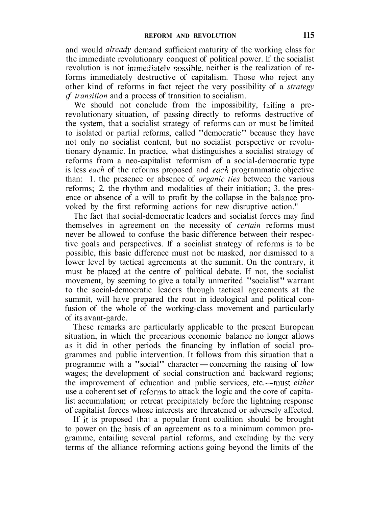and would already demand sufficient maturity of the working class for the immediate revolutionary conquest of political power. If the socialist revolution is not immediately possible, neither is the realization of re-<br>forms immediately destructive of capitalism. Those who reject any other kind of reforms in fact reject the very possibility of a strategy  $\sigma$  transition and a process of transition to socialism.

We should not conclude from the impossibility, failing a pre-<br>revolutionary situation, of passing directly to reforms destructive of the system, that a socialist strategy of reforms can or must be limited to isolated or partial reforms, called "democratic" because they have not only no socialist content, but no socialist perspective or revolu- tionary dynamic. In practice, what distinguishes a socialist strategy of reforms from a neo-capitalist reformism of a social-democratic type is less each of the reforms proposed and each programmatic objective than: 1. the presence or absence of *organic ties* between the various reforms; 2. the rhythm and modalities of their initiation; 3. the pres-<br>ence or absence of a will to profit by the collapse in the balance provoked by the first reforming actions for new disruptive action."

The fact that social-democratic leaders and socialist forces may find themselves in agreement on the necessity of certain reforms must never be allowed to confuse the basic difference between their respec- tive goals and perspectives. If a socialist strategy of reforms is to be possible, this basic difference must not be masked, nor dismissed to a lower level by tactical agreements at the summit. On the contrary, it must be placed at the centre of political debate. If not, the socialist movement, by seeming to give a totally unmerited "socialist" warrant to the social-democratic leaders through tactical agreements at the fusion of the whole of the working-class movement and particularly of its avant-garde.

These remarks are particularly applicable to the present European situation, in which the precarious economic balance no longer allows as it did in other periods the financing by inflation of social pro- grammes and public intervention. It follows from this situation that a programme with a "social" character-concerning the raising of low wages; the development of social construction and backward regions; the improvement of education and public services, etc.—must either use a coherent set of reforms to attack the logic and the core of capita-<br>list accumulation; or retreat precipitately before the lightning response of capitalist forces whose interests are threatened or adversely affected.

If it is proposed that a popular front coalition should be brought to power on the basis of an agreement as to a minimum common programme, entailing several partial reforms, and excluding by the very terms of the alliance reforming actions going beyond the limits of the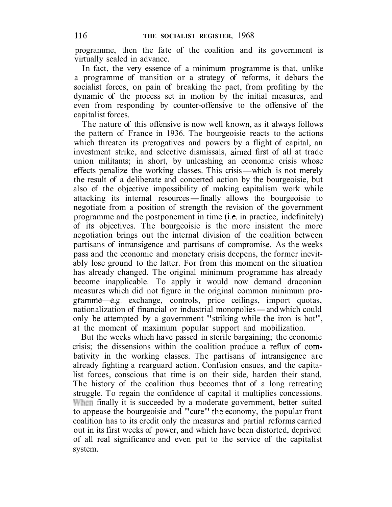programme, then the fate of the coalition and its government is virtually sealed in advance.

In fact, the very essence of a minimum programme is that, unlike a programme of transition or a strategy of reforms, it debars the socialist forces, on pain of breaking the pact, from profiting by the dynamic of the process set in motion by the initial measures, and even from responding by counter-offensive to the offensive of the capitalist forces.

The nature of this offensive is now well known, as it always follows the pattern of France in 1936. The bourgeoisie reacts to the actions which threaten its prerogatives and powers by a flight of capital, an investment strike, and selective dismissals, aimed first of all at trade union militants; in short, by unleashing an economic crisis whose effects penalize the working classes. This crisis—which is not merely the result of union militants; in short, by unleashing an economic crisis whose the result of a deliberate and concerted action by the bourgeoisie, but also of the objective impossibility of making capitalism work while the result of a deliberate and concerted action by the bourgeoisie, but<br>also of the objective impossibility of making capitalism work while<br>attacking its internal resources—finally allows the bourgeoisie to<br>presentite from negotiate from a position of strength the revision of the government programme and the postponement in time  $(i.e., in practice, indefinitely)$ of its objectives. The bourgeoisie is the more insistent the more negotiation brings out the internal division of the coalition between partisans of intransigence and partisans of compromise. As the weeks pass and the economic and monetary crisis deepens, the former inevit- ably lose ground to the latter. For from this moment on the situation has already changed. The original minimum programme has already become inapplicable. To apply it would now demand draconian measures which did not figure in the original common minimum promeasures which did not figure in the original common minimum pro-<br>gramme—e.g. exchange, controls, price ceilings, import quotas,<br>nationalization of financial or industrial monopolies—and which could<br>only be attenuated by a nationalization of financial or industrial monopolies — and which could only be attempted by a government "striking while the iron is hot", at the moment of maximum popular support and mobilization.

But the weeks which have passed in sterile bargaining; the economic crisis; the dissensions within the coalition produce a reflux of combativity in the working classes. The partisans of intransigence are already fighting a rearguard action. Confusion ensues, and the capita- list forces, conscious that time is on their side, harden their stand. The history of the coalition thus becomes that of a long retreating struggle. To regain the confidence of capital it multiplies concessions. **Herm** finally it is succeeded by a moderate government, better suited to appease the bourgeoisie and "cure" the economy, the popular front coalition has to its credit only the measures and partial reforms carried out in its first weeks of power, and which have been distorted, deprived of all real significance and even put to the service of the capitalist system.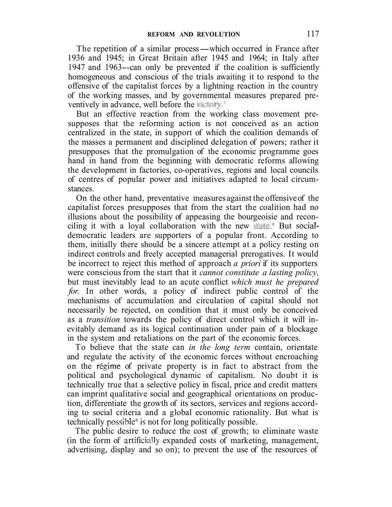The repetition of a similar process—which occurred in France after 1936 and 1945; in Great Britain after 1945 and 1964; in Italy after 1947 and 1963--can only be prevented if the coalition is sufficiently homogeneous and conscious of the trials awaiting it to respond to the offensive of the capitalist forces by a lightning reaction in the country of the working masses, and by governmental measures prepared preventively in advance, well before the **victory**.<sup>1</sup><br>But an effective reaction from the working class movement pre-

supposes that the reforming action is not conceived as an action centralized in the state, in support of which the coalition demands of the masses a permanent and disciplined delegation of powers; rather it presupposes that the promulgation of the economic programme goes hand in hand from the beginning with democratic reforms allowing the development in factories, co-operatives, regions and local councils of centres of popular power and initiatives adapted to local circum- stances.

On the other hand, preventative measures against the offensive of the capitalist forces presupposes that from the start the coalition had no<br>illusions about the possibility of appeasing the bourgeoisie and reconciling it with a loyal collaboration with the new  $B$ ut socialdemocratic leaders are supporters of a popular front. According to them, initially there should be a sincere attempt at a policy resting on indirect controls and freely accepted managerial prerogatives. It would be incorrect to reject this method of approach  $\alpha$  priori if its supporters were conscious from the start that it *cannot constitute a lasting policy*, but must inevitably lead to an acute conflict which must he prepared for. In other words, a policy of indirect public control of the mechanisms of accumulation and circulation of capital should not necessarily be rejected, on condition that it must only be conceived as a transition towards the policy of direct control which it will in- evitably demand as its logical continuation under pain of a blockage in the system and retaliations on the part of the economic forces.

To believe that the state can *in the long term* contain, orientate and regulate the activity of the economic forces without encroaching on the régime of private property is in fact to abstract from the political and psychological dynamic of capitalism. No doubt it is technically true that a selective policy in fiscal, price and credit matters tion, differentiate the growth of its sectors, services and regions accord-<br>ing to social criteria and a global economic rationality. But what is technically possible<sup>9</sup> is not for long politically possible.

The public desire to reduce the cost of growth; to eliminate waste (in the form of artificially expanded costs of marketing, management, advertising, display and so on); to prevent the use of the resources of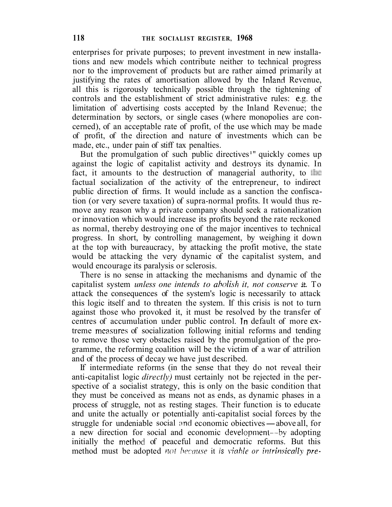enterprises for private purposes; to prevent investment in new installa- tions and new models which contribute neither to technical progress nor to the improvement of products but are rather aimed primarily at justifying the rates of amortisation allowed by the Inland Revenue, all this is rigorously technically possible through the tightening of controls and the establishment of strict administrative rules: e.g. the limitation of advertising costs accepted by the Inland Revenue; the determination by sectors, or single cases (where monopolies are concerned), of an acceptable rate of profit, of the use which may be made of profit, of the direction and nature of investments which can be made, etc., under pain of stiff tax penalties.

But the promulgation of such public directives<sup>1</sup> quickly comes up against the logic of capitalist activity and destroys its dynamic. In fact, it amounts to the destruction of managerial authority, to the factual socialization of the activity of the entrepreneur, to indirect public direction of firms. It would include as a sanction the confisca- tion (or very severe taxation) of supra-normal profits. It would thus re- move any reason why a private company should seek a rationalization or innovation which would increase its profits beyond the rate reckoned as normal, thereby destroying one of the major incentives to technical progress. In short, by controlling management, by weighing it down at the top with bureaucracy, by attacking the profit motive, the state would be attacking the very dynamic of the capitalist system, and would encourage its paralysis or sclerosis.

There is no sense in attacking the mechanisms and dynamic of the capitalist system *unless one intends to abolish it, not conserve it.* To attack the consequences of the system's logic is necessarily to attack this logic itself and to threaten the system. If this crisis is not to turn against those who provoked it, it must be resolved by the transfer of centres of accumulation under public control. In default of more ex-<br>treme measures of socialization following initial reforms and tending to remove those very obstacles raised by the promulgation of the pro- gramme, the reforming coalition will be the victim of a war of attrilion and of the process of decay we have just described.

If intermediate reforms (in the sense that they do not reveal their anti-capitalist logic *directly*) must certainly not be rejected in the per-<br>spective of a socialist strategy, this is only on the basic condition that they must be conceived as means not as ends, as dynamic phases in a process of struggle, not as resting stages. Their function is to educate and unite the actually or potentially anti-capitalist social forces by the struggle for undeniable social and economic obiectives—above all, for a new direction for social and economic development—by adopting initially the method of peaceful and democratic reforms. But this method must be adopted not because it is viable or intrinsically pre-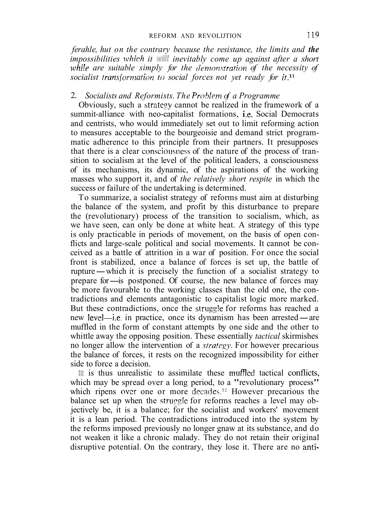ferahle, hut on the contrary because the resistance, the limits and the  $impossible$  impossibilities which it inevitably come up against after a short while are suitable simply for the demonstration of the necessity of socialist transformation to social forces not yet ready for it.<sup>11</sup>

# 2. Socialists and Reformists. The Problem of a Programme

Obviously, such a strategy cannot be realized in the framework of a summit-alliance with neo-capitalist formations, i.e. Social Democrats and centrists, who would immediately set out to limit reforming action to measures acceptable to the bourgeoisie and demand strict programmatic adherence to this principle from their partners. It presupposes that there is a clear consciousness of the nature of the process of transition to socialism at the level of the political leaders, a consciousness of its mechanisms, its dynamic, of the aspirations of the working masses who support it, and of the relatively short respite in which the success or failure of the undertaking is determined.

To summarize, a socialist strategy of reforms must aim at disturbing the balance of the system, and profit by this disturbance to prepare the (revolutionary) process of the transition to socialism, which, as we have seen, can only be done at white heat. A strategy of this type is only practicable in periods of movement, on the basis of open con-<br>flicts and large-scale political and social movements. It cannot be confront is stabilized, once a balance of forces is set up, the battle of ceived as a battle of attrition in a war of position. For once the social front is stabilized, once a balance of forces is set up, the battle of rupture—which it is precisely the function of a socialist strategy to prepare for-is postponed. Of course, the new balance of forces may be more favourable to the working classes than the old one, the conbe more favourable to the working classes than the old one, the con-<br>tradictions and elements antagonistic to capitalist logic more marked. But these contradictions, once the struggle for reforms has reached a tradictions and elements antagonistic to capitalist logic more marked.<br>But these contradictions, once the struggle for reforms has reached a<br>new level—i.e. in practice, once its dynamism has been arrested—are<br>mufiled in th muffled in the form of constant attempts by one side and the other to whittle away the opposing position. These essentially *tactical* skirmishes no longer allow the intervention of a *strategy*. For however precarious the balance of forces, it rests on the recognized impossibility for either side to force a decision.

 $\blacksquare$  is thus unrealistic to assimilate these muffled tactical conflicts, which may be spread over a long period, to a "revolutionary process" which ripens over one or more decades.<sup>12</sup> However precarious the balance set up when the struggle for reforms reaches a level may objectively be, it is a balance; for the socialist and workers' movement it is a lean period. The contradictions introduced into the system by the reforms imposed previously no longer gnaw at its substance, and do not weaken it like a chronic malady. They do not retain their original disruptive potential. On the contrary, they lose it. There are no anti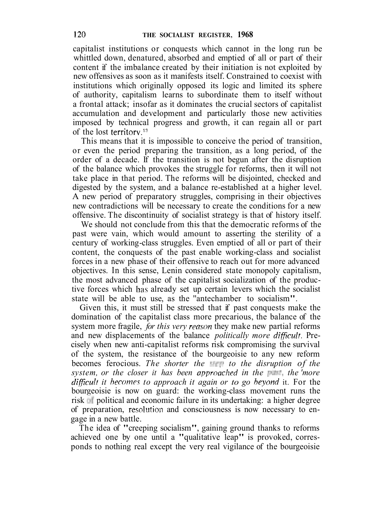capitalist institutions or conquests which cannot in the long run be whittled down, denatured, absorbed and emptied of all or part of their content if the imbalance created by their initiation is not exploited by new offensives as soon as it manifests itself. Constrained to coexist with institutions which originally opposed its logic and limited its sphere of authority, capitalism learns to subordinate them to itself without a frontal attack; insofar as it dominates the crucial sectors of capitalist accumulation and development and particularly those new activities imposed by technical progress and growth, it can regain all or part of the lost territory.<sup>13</sup>

This means that it is impossible to conceive the period of transition, or even the period preparing the transition, as a long period, of the order of a decade. If the transition is not begun after the disruption of the balance which provokes the struggle for reforms, then it will not take place in that period. The reforms will be disjointed, checked and digested by the system, and a balance re-established at a higher level. A new period of preparatory struggles, comprising in their objectives new contradictions will be necessary to create the conditions for a new offensive. The discontinuity of socialist strategy is that of history itself.

We should not conclude from this that the democratic reforms of the past were vain, which would amount to asserting the sterility of a century of working-class struggles. Even emptied of all or part of their content, the conquests of the past enable working-class and socialist forces in a new phase of their offensive to reach out for more advanced objectives. In this sense, Lenin considered state monopoly capitalism, the most advanced phase of the capitalist socialization of the productive forces which has already set up certain levers which the socialist state will be able to use, as the ''antechamber to socialism". Given this, it must still be stressed that if past conquests make the

domination of the capitalist class more precarious, the balance of the system more fragile, for this very reason they make new partial reforms and new displacements of the balance *politically more difficult*. Pre-<br>cisely when new anti-capitalist reforms risk compromising the survival of the system, the resistance of the bourgeoisie to any new reform becomes ferocious. The shorter the the to the disruption of the system, or the closer it has been approached in the  $\mathbb{R}$  the more difficult it becomes to approach it again or to go beyond it. For the bourgeoisie is now on guard: the working-class movement runs the risk **of** political and economic failure in its undertaking: a higher degree of preparation, resolution and consciousness is now necessary to engage in a new battle.

The idea of "creeping socialism", gaining ground thanks to reforms achieved one by one until a "qualitative leap" is provoked, corresponds to nothing real except the very real vigilance of the bourgeoisie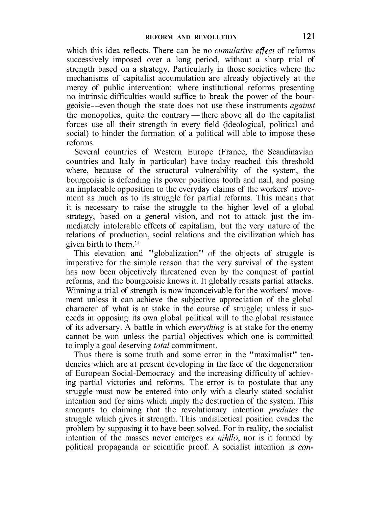which this idea reflects. There can be no *cumulative effect* of reforms successively imposed over a long period, without a sharp trial of strength based on a strategy. Particularly in those societies where the mechanisms of capitalist accumulation are already objectively at the mercy of public intervention: where institutional reforms presenting no intrinsic difficulties would suffice to break the power of the bour-<br>geoisie--even though the state does not use these instruments *against*<br>the monopolies, quite the contrary-there above all do the capitalist<br>forces us forces use all their strength in every field (ideological, political and social) to hinder the formation of a political will able to impose these reforms.

Several countries of Western Europe (France, the Scandinavian countries and Italy in particular) have today reached this threshold where, because of the structural vulnerability of the system, the bourgeoisie is defending its power positions tooth and nail, and posing an implacable opposition to the everyday claims of the workers' move- ment as much as to its struggle for partial reforms. This means that it is necessary to raise the struggle to the higher level of a global strategy, based on a general vision, and not to attack just the im- mediately intolerable effects of capitalism, but the very nature of the relations of production, social relations and the civilization which has given birth to them.<sup>14</sup>

This elevation and "globalization" of the objects of struggle is imperative for the simple reason that the very survival of the system has now been objectively threatened even by the conquest of partial reforms, and the bourgeoisie knows it. It globally resists partial attacks. Winning a trial of strength is now inconceivable for the workers' move- ment unless it can achieve the subjective appreciation of the global character of what is at stake in the course of struggle; unless it suc- ceeds in opposing its own global political will to the global resistance of its adversary. A battle in which everything is at stake for the enemy cannot be won unless the partial objectives which one is committed to imply a goal deserving *total* commitment.

Thus there is some truth and some error in the "maximalist" ten- dencies which are at present developing in the face of the degeneration of European Social-Democracy and the increasing difficulty of achiev- ing partial victories and reforms. The error is to postulate that any struggle must now be entered into only with a clearly stated socialist intention and for aims which imply the destruction of the system. This amounts to claiming that the revolutionary intention *predates* the struggle which gives it strength. This undialectical position evades the problem by supposing it to have been solved. For in reality, the socialist intention of the masses never emerges  $ex$  nihilo, nor is it formed by political propaganda or scientific proof. A socialist intention is con-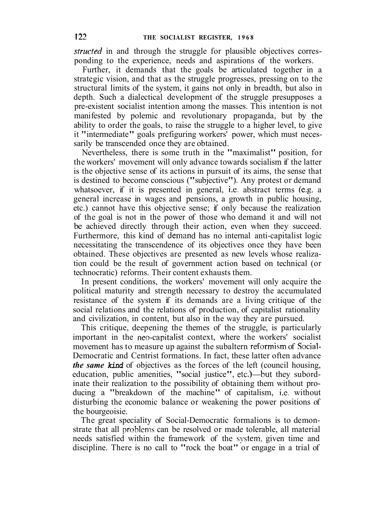THE SOCIALIST REGISTER, 1968<br>
ough the struggle for plausible objectives corres-<br>
berience, needs and aspirations of the workers.<br>
and that the goals be articulated together in a<br>
l that as the struggle progresses pressing structed in and through the struggle for plausible objectives corres-<br>ponding to the experience, needs and aspirations of the workers.

Further, it demands that the goals be articulated together in a strategic vision, and that as the struggle progresses, pressing on to the structural limits of the system, it gains not only in breadth, but also in depth. Such a dialectical development of the struggle presupposes a pre-existent socialist intention among the masses. This intention is not manifested by polemic and revolutionary propaganda, but by ability to order the goals, to raise the struggle to a higher level, to give it "intermediate" goals prefiguring workers' power, which must neces- sarily be transcended once they are obtained.

Nevertheless, there is some truth in the "maximalist" position, for the workers' movement will only advance towards socialism if the latter is the objective sense of its actions in pursuit of its aims, the sense that is destined to become conscious ("subjective"). Any protest or demand whatsoever, if it is presented in general, i.e. abstract terms  $(e.g. a$ general increase in wages and pensions, a growth in public housing, etc.) cannot have this objective sense; if only because the realization of the goal is not in the power of those who demand it and will not be achieved directly through their action, even when they succeed. Furthermore, this kind of demand has no internal anti-capitalist logic necessitating the transcendence of its objectives once they have been obtained. These objectives are presented as new levels whose realiza- tion could be the result of government action based on technical (or technocratic) reforms. Their content exhausts them.

In present conditions, the workers' movement will only acquire the political maturity and strength necessary to destroy the accumulated resistance of the system if its demands are a living critique of the social relations and the relations of production, of capitalist rationality and civilization, in content, but also in the way they are pursued.

This critique, deepening the themes of the struggle, is particularly important in the neo-capitalist context, where the workers' socialist movement has to measure up against the subaltern reformism of Social-Democratic and Centrist formations. In fact, these latter often advance the same kind of objectives as the forces of the left (council housing, education, public amenities, "social justice", etc.)—but they subord-<br>inate their realization to the possibility of obtaining them without pro-<br>ducing a "breakdown of the machine" of capitalism, i.e. without disturbing the economic balance or weakening the power positions of the bourgeoisie.

The great speciality of Social-Democratic formalions is to demon-<br>strate that all problems can be resolved or made tolerable, all material needs satisfied within the framework of the system, given time and discipline. There is no call to "rock the boat" or engage in a trial of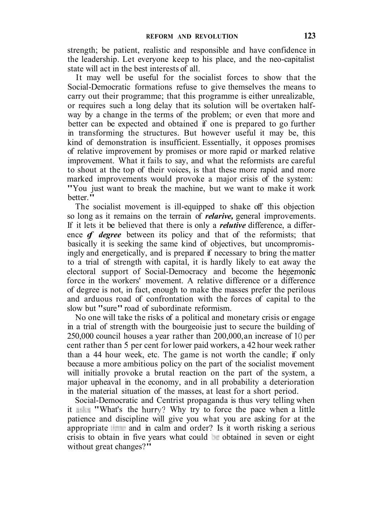strength; be patient, realistic and responsible and have confidence in the leadership. Let everyone keep to his place, and the neo-capitalist state will act in the best interests of all.

It may well be useful for the socialist forces to show that the Social-Democratic formations refuse to give themselves the means to carry out their programme; that this programme is either unrealizable, or requires such a long delay that its solution will be overtaken half- way by a change in the terms of the problem; or even that more and better can be expected and obtained if one is prepared to go further in transforming the structures. But however useful it may be, this kind of demonstration is insufficient. Essentially, it opposes promises of relative improvement by promises or more rapid or marked relative improvement. What it fails to say, and what the reformists are careful to shout at the top of their voices, is that these more rapid and more marked improvements would provoke a major crisis of the system: "You just want to break the machine, but we want to make it work rou just want to ord<br>better."

The socialist movement is ill-equipped to shake off this objection so long as it remains on the terrain of *relarive*, general improvements. If it lets it be believed that there is only a *relutive* difference, a difference  $\boldsymbol{f}$  degree between its policy and that of the reformists; that basically it is seeking the same kind of objectives, but uncompromis- ingly and energetically, and is prepared if necessary to bring the matter to a trial of strength with capital, it is hardly likely to eat away the electoral support of Social-Democracy and become the force in the workers' movement. A relative difference or a difference of degree is not, in fact, enough to make the masses prefer the perilous and arduous road of confrontation with the forces of capital to the slow but "sure" road of subordinate reformism.

No one will take the risks of a political and monetary crisis or engage in a trial of strength with the bourgeoisie just to secure the building of  $250,000$  council houses a year rather than  $200,000$ , an increase of 10 per cent rather than 5 per cent for lower paid workers, a 42 hour week rather than a 44 hour week, etc. The game is not worth the candle; if only because a more ambitious policy on the part of the socialist movement will initially provoke a brutal reaction on the part of the system, a major upheaval in the economy, and in all probability a deterioration in the material situation of the masses, at least for a short period.

Social-Democratic and Centrist propaganda is thus very telling when it "What's the Why try to force the pace when a little patience and discipline will give you what you are asking for at the appropriate and in calm and order? Is it worth risking a serious crisis to obtain in five years what could be obtained in seven or eight without great changes?"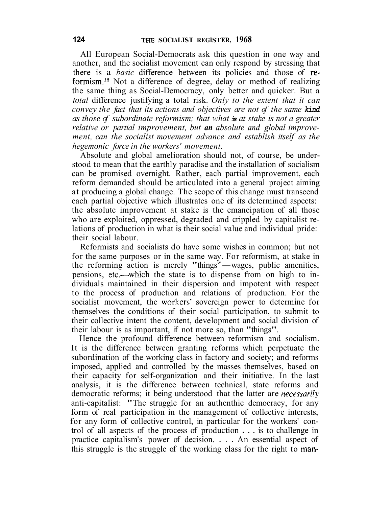All European Social-Democrats ask this question in one way and another, and the socialist movement can only respond by stressing that there is a *basic* difference between its policies and those of reformism.<sup>15</sup> Not a difference of degree, delay or method of realizing the same thing as Social-Democracy, only better and quicker. But a total difference justifying a total risk. Only to the extent that it can convey the fact that its actions and objectives are not of the same kind as those of subordinate reformism; that what is at stake is not a greater relative or partial improvement, but an absolute and global improve-<br>ment, can the socialist movement advance and establish itself as the hegemonic force in the workers' movement.

Absolute and global amelioration should not, of course, be under- stood to mean that the earthly paradise and the installation of socialism can be promised overnight. Rather, each partial improvement, each reform demanded should be articulated into a general project aiming at producing a global change. The scope of this change must transcend each partial objective which illustrates one of its determined aspects: the absolute improvement at stake is the emancipation of all those who are exploited, oppressed, degraded and crippled by capitalist re- lations of production in what is their social value and individual pride: their social labour.

Reformists and socialists do have some wishes in common; but not for the same purposes or in the same way. For reformism, at stake in Reformists and socialists do have some wishes in common; but not<br>for the same purposes or in the same way. For reformism, at stake in<br>the reforming action is merely "things"—wages, public amenities, pensions, the state is to dispense from on high to in- dividuals maintained in their dispersion and impotent with respect to the process of production and relations of production. For the socialist movement, the workers' sovereign power to determine for themselves the conditions of their social participation, to submit to their collective intent the content, development and social division of their labour is as important, if not more so, than "things". Hence the profound difference between reformism and socialism.

It is the difference between granting reforms which perpetuate the subordination of the working class in factory and society; and reforms imposed, applied and controlled by the masses themselves, based on their capacity for self-organization and their initiative. In the last analysis, it is the difference between technical, state reforms and democratic reforms; it being understood that the latter are *necessarily* anti-capitalist: "The struggle for an authenthic democracy, for any form of real participation in the management of collective interests, for any form of collective control, in particular for the workers' control of all aspects of the process of production . . . is to challenge in practice capitalism's power of decision. . . . An essential aspect of this struggle is the struggle of the working class for the right to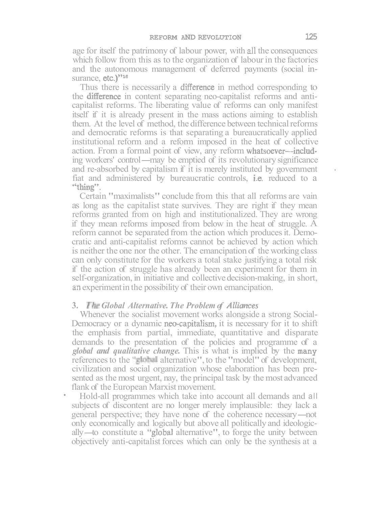age for itself the patrimony of labour power, with all the consequences which follow from this as to the organization of labour in the factories and the autonomous management of deferred payments (social in-<br>surance, etc.)"<sup>16</sup>

Thus there is necessarily a **difference** in method corresponding to the **difference** in content separating neo-capitalist reforms and anti-<br>capitalist reforms. The liberating value of reforms can only manifest itself if it is already present in the mass actions aiming to establish them. At the level of method, the difference between technical reforms and democratic reforms is that separating a bureaucratically applied institutional reform and a reform imposed in the heat of collective action. From a formal point of view, any reform whatsoever—including workers' control—may be emptied of its revolutionary significance and re-electrical b action. From a formal point of view, any reform whatsoever--including workers' control—may be emptied of its revolutionary significance and re-absorbed by capitalism if it is merely instituted by government fiat and administered by bureaucratic controls, i.e. reduced to a "thing".<br>Certain "maximalists" conclude from this that all reforms are vain

as long as the capitalist state survives. They are right if they mean reforms granted from on high and institutionalized. They are wrong if they mean reforms imposed from below in the heat of struggle. A reform cannot be separated from the action which produces it. Democratic and anti-capitalist reforms cannot be achieved by action which is neither the one nor the other. The emancipation of the working class can only constitute for the workers a total stake justifying a total risk if the action of struggle has already been an experiment for them in self-organization, in initiative and collective decision-making, in short, an experiment in the possibility of their own emancipation.

## 3. **Fig. Global Alternative. The Problem of Alliances**

 $\bullet$ 

Whenever the socialist movement works alongside a strong Social-Democracy or a dynamic **neo-capitalism**, it is necessary for it to shift the emphasis from partial, immediate, quantitative and disparate demands to the presentation of the policies and programme of a global and qualitative change. This is what is implied by the many references to the **alternative**", to the "model" of development, civilization and social organization whose elaboration has been presented as the most urgent, nay, the principal task by the most advanced flank of the European Marxist movement.

Hold-all programmes which take into account all demands and all subjects of discontent are no longer merely implausible: they lack a Hold-all programmes which take into account all demands and all<br>subjects of discontent are no longer merely implausible: they lack a<br>general perspective; they have none of the coherence necessary—not<br>only economically and general perspective; they have none of the coherence necessary—not only economically and logically but above all politically and ideologically—to constitute a "global alternative", to forge the unity between objectively anti-capitalist forces which can only be the synthesis at a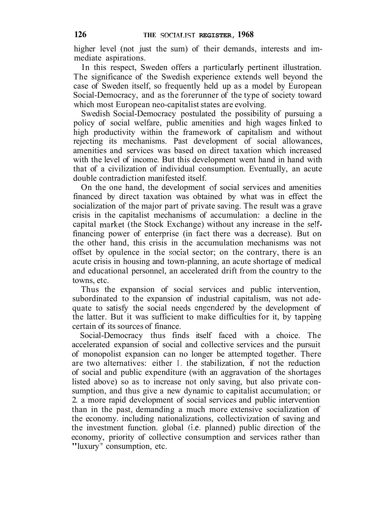higher level (not just the sum) of their demands, interests and im-<br>mediate aspirations.

In this respect, Sweden offers a particularly pertinent illustration. The significance of the Swedish experience extends well beyond the case of Sweden itself, so frequently held up as a model by European Social-Democracy, and as the forerunner of the type of society toward which most European neo-capitalist states are evolving.

Swedish Social-Democracy postulated the possibility of pursuing a policy of social welfare, public amenities and high wages linked to high productivity within the framework of capitalism and without rejecting its mechanisms. Past development of social allowances, amenities and services was based on direct taxation which increased with the level of income. But this development went hand in hand with that of a civilization of individual consumption. Eventually, an acute double contradiction manifested itself.

On the one hand, the development of social services and amenities financed by direct taxation was obtained by what was in effect the socialization of the major part of private saving. The result was a grave crisis in the capitalist mechanisms of accumulation: a decline in the capital market (the Stock Exchange) without any increase in the selffinancing power of enterprise (in fact there was a decrease). But on the other hand, this crisis in the accumulation mechanisms was not offset by opulence in the social sector; on the contrary, there is an acute crisis in housing and town-planning, an acute shortage of medical and educational personnel, an accelerated drift from the country to the towns, etc. manctor of the latter in the cock Exchange) wind was more in the condization of the major part of private saving. The result was a grave crisis in the capitalist mechanisms of accumulation: a decline in the self-capital ma

Thus the expansion of social services and public intervention, subordinated to the expansion of industrial capitalism, was not adequate to satisfy the social needs engendered by the development of the latter. But it was sufficient to make difficulties for it, by certain of its sources of finance.

Social-Democracy thus finds itself faced with a choice. The accelerated expansion of social and collective services and the pursuit of monopolist expansion can no longer be attempted together. There of social and public expenditure (with an aggravation of the shortages listed above) so as to increase not only saving, but also private con- sumption, and thus give a new dynamic to capitalist accumulation; or 2. a more rapid development of social services and public intervention than in the past, demanding a much more extensive socialization of the economy. including nationalizations, collectivization of saving and the investment function. global (i.e. planned) public direction of the economy, priority of collective consumption and services rather than "luxury" consumption, etc.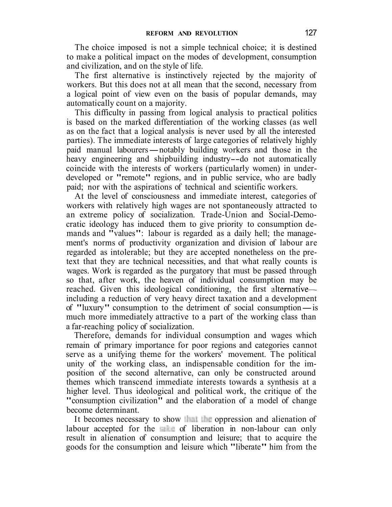The choice imposed is not a simple technical choice; it is destined to make a political impact on the modes of development, consumption and civilization, and on the style of life.

The first alternative is instinctively rejected by the majority of workers. But this does not at all mean that the second, necessary from a logical point of view even on the basis of popular demands, may automatically count on a majority.

This difficulty in passing from logical analysis to practical politics is based on the marked differentiation of the working classes (as well as on the fact that a logical analysis is never used by all the interested parties). The immediate interests of large categories of relatively highly as on the fact that a logical analysis is never used by all the interested<br>parties). The immediate interests of large categories of relatively highly<br>paid manual labourers—notably building workers and those in the<br>heavy en paid manual labourers—notably building workers and those in the heavy engineering and shipbuilding industry--do not automatically coincide with the interests of workers (particularly women) in underdeveloped or "remote" regions, and in public service, who are badly paid; nor with the aspirations of technical and scientific workers.

At the level of consciousness and immediate interest, categories of workers with relatively high wages are not spontaneously attracted to an extreme policy of socialization. Trade-Union and Social-Demo-<br>cratic ideology has induced them to give priority to consumption de-<br>mands and "values": labour is regarded as a daily hell; the manage-<br>ment's norms of prod regarded as intolerable; but they are accepted nonetheless on the pre- text that they are technical necessities, and that what really counts is wages. Work is regarded as the purgatory that must be passed through so that, after work, the heaven of individual consumption may be reached. Given this ideological conditioning, the first including a reduction of very heavy direct taxation and a development of "luxury" consumption to the detriment of social consumption-is much more immediately attractive to a part of the working class than a far-reaching policy of socialization.

Therefore, demands for individual consumption and wages which remain of primary importance for poor regions and categories cannot serve as a unifying theme for the workers' movement. The political unity of the working class, an indispensable condition for the im- position of the second alternative, can only be constructed around themes which transcend immediate interests towards a synthesis at a higher level. Thus ideological and political work, the critique of the "consumption civilization" and the elaboration of a model of change become determinant.

It becomes necessary to show **that the oppression and alienation of** labour accepted for the same of liberation in non-labour can only result in alienation of consumption and leisure; that to acquire the goods for the consumption and leisure which "liberate" him from the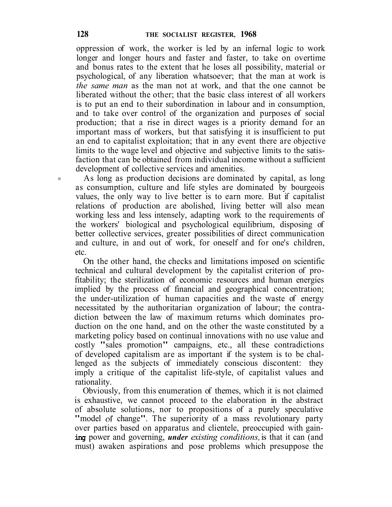oppression of work, the worker is led by an infernal logic to work longer and longer hours and faster and faster, to take on overtime and bonus rates to the extent that he loses all possibility, material or psychological, of any liberation whatsoever; that the man at work is the same man as the man not at work, and that the one cannot be liberated without the other; that the basic class interest of all workers is to put an end to their subordination in labour and in consumption, and to take over control of the organization and purposes of social production; that a rise in direct wages is a priority demand for an important mass of workers, but that satisfying it is insufficient to put an end to capitalist exploitation; that in any event there are objective limits to the wage level and objective and subjective limits to the satis- faction that can be obtained from individual income without a sufficient development of collective services and amenities.

As long as production decisions are dominated by capital, as long as consumption, culture and life styles are dominated by bourgeois values, the only way to live better is to earn more. But if capitalist relations of production are abolished, living better will also mean working less and less intensely, adapting work to the requirements of the workers' biological and psychological equilibrium, disposing of better collective services, greater possibilities of direct communication and culture, in and out of work, for oneself and for one's children, etc.

On the other hand, the checks and limitations imposed on scientific technical and cultural development by the capitalist criterion of pro- fitability; the sterilization of economic resources and human energies implied by the process of financial and geographical concentration; the under-utilization of human capacities and the waste of energy necessitated by the authoritarian organization of labour; the contra- diction between the law of maximum returns which dominates pro- duction on the one hand, and on the other the waste constituted by a marketing policy based on continual innovations with no use value and costly "sales promotion" campaigns, etc., all these contradictions of developed capitalism are as important if the system is to be challenged as the subjects of immediately conscious discontent: they imply a critique of the capitalist life-style, of capitalist values and rationality.

Obviously, from this enumeration of themes, which it is not claimed is exhaustive, we cannot proceed to the elaboration in the abstract of absolute solutions, nor to propositions of a purely speculative "model of change". The superiority of a mass revolutionary party over parties based on apparatus and clientele, preoccupied with gaining power and governing, *under existing conditions*, is that it can (and must) awaken aspirations and pose problems which presuppose the

a.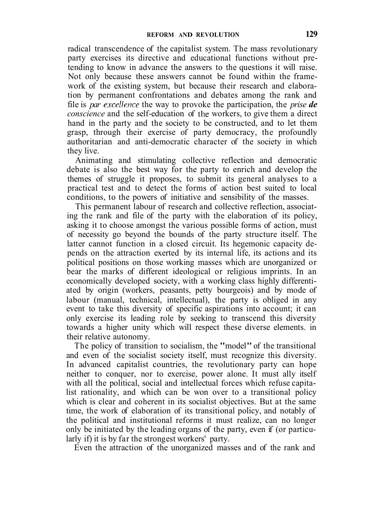radical transcendence of the capitalist system. The mass revolutionary party exercises its directive and educational functions without pre- tending to know in advance the answers to the questions it will raise. Not only because these answers cannot be found within the frame-<br>work of the existing system, but because their research and elabora-<br>tion by permanent confrontations and debates among the rank and file is *par excellence* the way to provoke the participation, the *prise de* conscience and the self-education of the workers, to give them a direct hand in the party and the society to be constructed, and to let them grasp, through their exercise of party democracy, the profoundly authoritarian and anti-democratic character of the society in which they live.

Animating and stimulating collective reflection and democratic debate is also the best way for the party to enrich and develop the themes of struggle it proposes, to submit its general analyses to a practical test and to detect the forms of action best suited to local conditions, to the powers of initiative and sensibility of the masses.

This permanent labour of research and collective reflection, associat- ing the rank and file of the party with the elaboration of its policy, asking it to choose amongst the various possible forms of action, must of necessity go beyond the bounds of the party structure itself. The latter cannot function in a closed circuit. Its hegemonic capacity depends on the attraction exerted by its internal life, its actions and its political positions on those working masses which are unorganized or bear the marks of different ideological or religious imprints. In an economically developed society, with a working class highly differenti- ated by origin (workers, peasants, petty bourgeois) and by mode of labour (manual, technical, intellectual), the party is obliged in any event to take this diversity of specific aspirations into account; it can only exercise its leading role by seeking to transcend this diversity towards a higher unity which will respect these diverse elements. in their relative autonomy.

The policy of transition to socialism, the "model" of the transitional and even of the socialist society itself, must recognize this diversity. In advanced capitalist countries, the revolutionary party can hope neither to conquer, nor to exercise, power alone. It must ally itself with all the political, social and intellectual forces which refuse capita- list rationality, and which can be won over to a transitional policy which is clear and coherent in its socialist objectives. But at the same time, the work of elaboration of its transitional policy, and notably of the political and institutional reforms it must realize, can no longer only be initiated by the leading organs of the party, even if (or particu- larly if) it is by far the strongest workers' party.

Even the attraction of the unorganized masses and of the rank and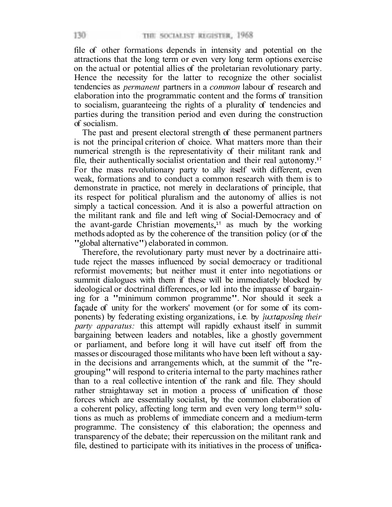file of other formations depends in intensity and potential on the attractions that the long term or even very long term options exercise on the actual or potential allies of the proletarian revolutionary party. Hence the necessity for the latter to recognize the other socialist tendencies as *permanent* partners in a *common* labour of research and elaboration into the programmatic content and the forms of transition to socialism, guaranteeing the rights of a plurality of tendencies and parties during the transition period and even during the construction of socialism.

The past and present electoral strength of these permanent partners is not the principal criterion of choice. What matters more than their numerical strength is the representativity of their militant rank and file, their authentically socialist orientation and their real autonomy.<sup>17</sup> For the mass revolutionary party to ally itself with different, even weak, formations and to conduct a common research with them is to demonstrate in practice, not merely in declarations of principle, that its respect for political pluralism and the autonomy of allies is not simply a tactical concession. And it is also a powerful attraction on the militant rank and file and left wing of Social-Democracy and of the avant-garde Christian movements, $1^8$  as much by the working methods adopted as by the coherence of the transition policy (or of the "global alternative") elaborated in common.<br>Therefore, the revolutionary party must never by a doctrinaire atti-

tude reject the masses influenced by social democracy or traditional reformist movements; but neither must it enter into negotiations or summit dialogues with them if these will be immediately blocked by ideological or doctrinal differences, or led into the impasse of bargain-<br>ing for a "minimum common programme". Nor should it seek a façade of unity for the workers' movement (or for some of its com-<br>ponents) by federating existing organizations, i.e. by *juxtaposing their* party apparatus: this attempt will rapidly exhaust itself in summit bargaining between leaders and notables, like a ghostly government or parliament, and before long it will have cut itself off from the masses or discouraged those militants who have been left without a in the decisions and arrangements which, at the summit of the "re- grouping" will respond to criteria internal to the party machines rather than to a real collective intention of the rank and file. They should rather straightaway set in motion a process of unification of those forces which are essentially socialist, by the common elaboration of a coherent policy, affecting long term and even very long term<sup>19</sup> solutions as much as problems of immediate concern and a medium-term programme. The consistency of this elaboration; the openness and transparency of the debate; their repercussion on the militant rank and file, destined to participate with its initiatives in the process of unifica-

130